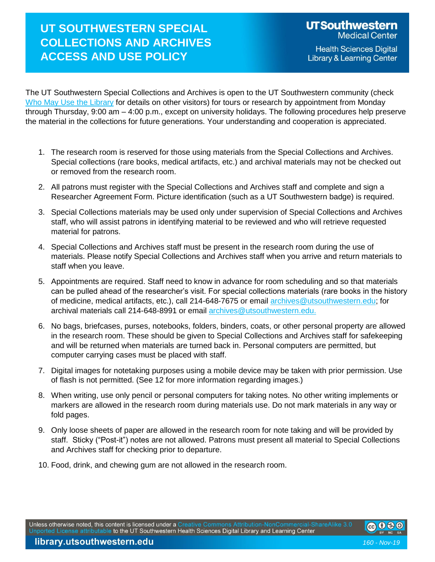## **UT SOUTHWESTERN SPECIAL COLLECTIONS AND ARCHIVES ACCESS AND USE POLICY**

The UT Southwestern Special Collections and Archives is open to the UT Southwestern community (check Who [May Use the Library](http://library.utsouthwestern.edu/main/portals/jpull2.aspx?6447) for details on other visitors) for tours or research by appointment from Monday through Thursday, 9:00 am – 4:00 p.m., except on university holidays. The following procedures help preserve the material in the collections for future generations. Your understanding and cooperation is appreciated.

- 1. The research room is reserved for those using materials from the Special Collections and Archives. Special collections (rare books, medical artifacts, etc.) and archival materials may not be checked out or removed from the research room.
- 2. All patrons must register with the Special Collections and Archives staff and complete and sign a Researcher Agreement Form. Picture identification (such as a UT Southwestern badge) is required.
- 3. Special Collections materials may be used only under supervision of Special Collections and Archives staff, who will assist patrons in identifying material to be reviewed and who will retrieve requested material for patrons.
- 4. Special Collections and Archives staff must be present in the research room during the use of materials. Please notify Special Collections and Archives staff when you arrive and return materials to staff when you leave.
- 5. Appointments are required. Staff need to know in advance for room scheduling and so that materials can be pulled ahead of the researcher's visit. For special collections materials (rare books in the history of medicine, medical artifacts, etc.), call 214-648-7675 or email [archives@utsouthwestern.edu;](mailto:archives@utsouthwestern.edu) for archival materials call 214-648-8991 or email [archives@utsouthwestern.edu.](mailto:archives@utsouthwestern.edu.)
- 6. No bags, briefcases, purses, notebooks, folders, binders, coats, or other personal property are allowed in the research room. These should be given to Special Collections and Archives staff for safekeeping and will be returned when materials are turned back in. Personal computers are permitted, but computer carrying cases must be placed with staff.
- 7. Digital images for notetaking purposes using a mobile device may be taken with prior permission. Use of flash is not permitted. (See 12 for more information regarding images.)
- 8. When writing, use only pencil or personal computers for taking notes. No other writing implements or markers are allowed in the research room during materials use. Do not mark materials in any way or fold pages.
- 9. Only loose sheets of paper are allowed in the research room for note taking and will be provided by staff. Sticky ("Post-it") notes are not allowed. Patrons must present all material to Special Collections and Archives staff for checking prior to departure.
- 10. Food, drink, and chewing gum are not allowed in the research room.